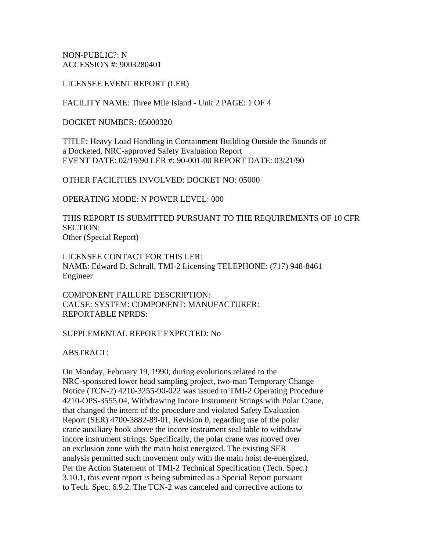NON-PUBLIC?: N ACCESSION #: 9003280401

LICENSEE EVENT REPORT (LER)

FACILITY NAME: Three Mile Island - Unit 2 PAGE: 1 OF 4

DOCKET NUMBER: 05000320

TITLE: Heavy Load Handling in Containment Building Outside the Bounds of a Docketed, NRC-approved Safety Evaluation Report EVENT DATE: 02/19/90 LER #: 90-001-00 REPORT DATE: 03/21/90

OTHER FACILITIES INVOLVED: DOCKET NO: 05000

OPERATING MODE: N POWER LEVEL: 000

THIS REPORT IS SUBMITTED PURSUANT TO THE REQUIREMENTS OF 10 CFR SECTION: Other (Special Report)

LICENSEE CONTACT FOR THIS LER: NAME: Edward D. Schrull, TMI-2 Licensing TELEPHONE: (717) 948-8461 Engineer

COMPONENT FAILURE DESCRIPTION: CAUSE: SYSTEM: COMPONENT: MANUFACTURER: REPORTABLE NPRDS:

#### SUPPLEMENTAL REPORT EXPECTED: No

ABSTRACT:

On Monday, February 19, 1990, during evolutions related to the NRC-sponsored lower head sampling project, two-man Temporary Change Notice (TCN-2) 4210-3255-90-022 was issued to TMI-2 Operating Procedure 4210-OPS-3555.04, Withdrawing Incore Instrument Strings with Polar Crane, that changed the intent of the procedure and violated Safety Evaluation Report (SER) 4700-3882-89-01, Revision 0, regarding use of the polar crane auxiliary hook above the incore instrument seal table to withdraw incore instrument strings. Specifically, the polar crane was moved over an exclusion zone with the main hoist energized. The existing SER analysis permitted such movement only with the main hoist de-energized. Per the Action Statement of TMI-2 Technical Specification (Tech. Spec.) 3.10.1, this event report is being submitted as a Special Report pursuant to Tech. Spec. 6.9.2. The TCN-2 was canceled and corrective actions to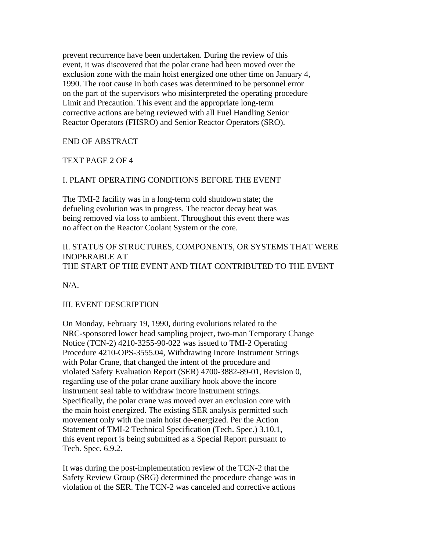prevent recurrence have been undertaken. During the review of this event, it was discovered that the polar crane had been moved over the exclusion zone with the main hoist energized one other time on January 4, 1990. The root cause in both cases was determined to be personnel error on the part of the supervisors who misinterpreted the operating procedure Limit and Precaution. This event and the appropriate long-term corrective actions are being reviewed with all Fuel Handling Senior Reactor Operators (FHSRO) and Senior Reactor Operators (SRO).

#### END OF ABSTRACT

#### TEXT PAGE 2 OF 4

#### I. PLANT OPERATING CONDITIONS BEFORE THE EVENT

The TMI-2 facility was in a long-term cold shutdown state; the defueling evolution was in progress. The reactor decay heat was being removed via loss to ambient. Throughout this event there was no affect on the Reactor Coolant System or the core.

# II. STATUS OF STRUCTURES, COMPONENTS, OR SYSTEMS THAT WERE INOPERABLE AT THE START OF THE EVENT AND THAT CONTRIBUTED TO THE EVENT

 $N/A$ 

#### III. EVENT DESCRIPTION

On Monday, February 19, 1990, during evolutions related to the NRC-sponsored lower head sampling project, two-man Temporary Change Notice (TCN-2) 4210-3255-90-022 was issued to TMI-2 Operating Procedure 4210-OPS-3555.04, Withdrawing Incore Instrument Strings with Polar Crane, that changed the intent of the procedure and violated Safety Evaluation Report (SER) 4700-3882-89-01, Revision 0, regarding use of the polar crane auxiliary hook above the incore instrument seal table to withdraw incore instrument strings. Specifically, the polar crane was moved over an exclusion core with the main hoist energized. The existing SER analysis permitted such movement only with the main hoist de-energized. Per the Action Statement of TMI-2 Technical Specification (Tech. Spec.) 3.10.1, this event report is being submitted as a Special Report pursuant to Tech. Spec. 6.9.2.

It was during the post-implementation review of the TCN-2 that the Safety Review Group (SRG) determined the procedure change was in violation of the SER. The TCN-2 was canceled and corrective actions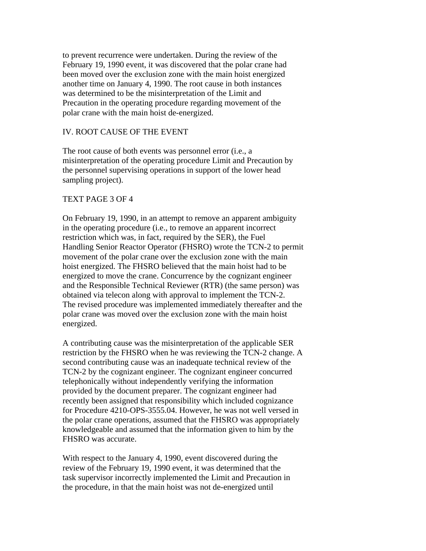to prevent recurrence were undertaken. During the review of the February 19, 1990 event, it was discovered that the polar crane had been moved over the exclusion zone with the main hoist energized another time on January 4, 1990. The root cause in both instances was determined to be the misinterpretation of the Limit and Precaution in the operating procedure regarding movement of the polar crane with the main hoist de-energized.

### IV. ROOT CAUSE OF THE EVENT

The root cause of both events was personnel error (i.e., a misinterpretation of the operating procedure Limit and Precaution by the personnel supervising operations in support of the lower head sampling project).

#### TEXT PAGE 3 OF 4

On February 19, 1990, in an attempt to remove an apparent ambiguity in the operating procedure (i.e., to remove an apparent incorrect restriction which was, in fact, required by the SER), the Fuel Handling Senior Reactor Operator (FHSRO) wrote the TCN-2 to permit movement of the polar crane over the exclusion zone with the main hoist energized. The FHSRO believed that the main hoist had to be energized to move the crane. Concurrence by the cognizant engineer and the Responsible Technical Reviewer (RTR) (the same person) was obtained via telecon along with approval to implement the TCN-2. The revised procedure was implemented immediately thereafter and the polar crane was moved over the exclusion zone with the main hoist energized.

A contributing cause was the misinterpretation of the applicable SER restriction by the FHSRO when he was reviewing the TCN-2 change. A second contributing cause was an inadequate technical review of the TCN-2 by the cognizant engineer. The cognizant engineer concurred telephonically without independently verifying the information provided by the document preparer. The cognizant engineer had recently been assigned that responsibility which included cognizance for Procedure 4210-OPS-3555.04. However, he was not well versed in the polar crane operations, assumed that the FHSRO was appropriately knowledgeable and assumed that the information given to him by the FHSRO was accurate.

With respect to the January 4, 1990, event discovered during the review of the February 19, 1990 event, it was determined that the task supervisor incorrectly implemented the Limit and Precaution in the procedure, in that the main hoist was not de-energized until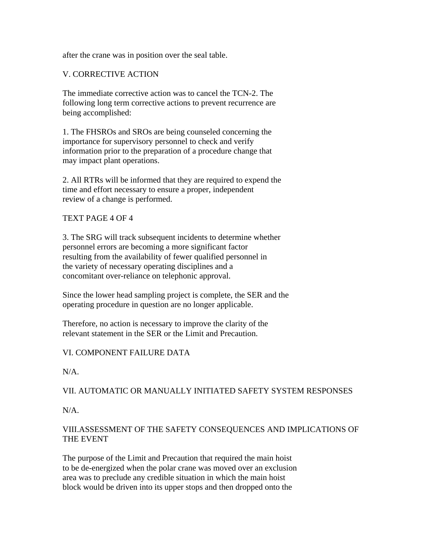after the crane was in position over the seal table.

## V. CORRECTIVE ACTION

The immediate corrective action was to cancel the TCN-2. The following long term corrective actions to prevent recurrence are being accomplished:

1. The FHSROs and SROs are being counseled concerning the importance for supervisory personnel to check and verify information prior to the preparation of a procedure change that may impact plant operations.

2. All RTRs will be informed that they are required to expend the time and effort necessary to ensure a proper, independent review of a change is performed.

### TEXT PAGE 4 OF 4

3. The SRG will track subsequent incidents to determine whether personnel errors are becoming a more significant factor resulting from the availability of fewer qualified personnel in the variety of necessary operating disciplines and a concomitant over-reliance on telephonic approval.

Since the lower head sampling project is complete, the SER and the operating procedure in question are no longer applicable.

Therefore, no action is necessary to improve the clarity of the relevant statement in the SER or the Limit and Precaution.

### VI. COMPONENT FAILURE DATA

N/A.

### VII. AUTOMATIC OR MANUALLY INITIATED SAFETY SYSTEM RESPONSES

 $N/A$ .

## VIII.ASSESSMENT OF THE SAFETY CONSEQUENCES AND IMPLICATIONS OF THE EVENT

The purpose of the Limit and Precaution that required the main hoist to be de-energized when the polar crane was moved over an exclusion area was to preclude any credible situation in which the main hoist block would be driven into its upper stops and then dropped onto the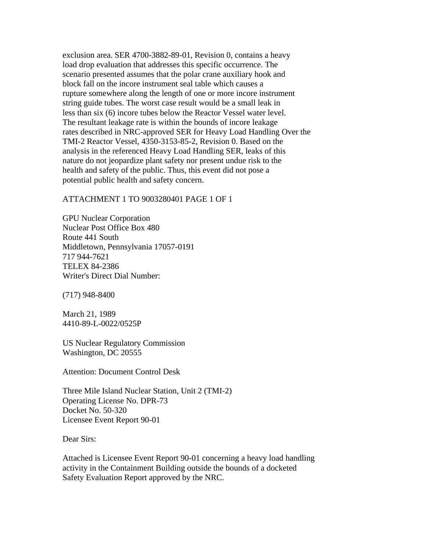exclusion area. SER 4700-3882-89-01, Revision 0, contains a heavy load drop evaluation that addresses this specific occurrence. The scenario presented assumes that the polar crane auxiliary hook and block fall on the incore instrument seal table which causes a rupture somewhere along the length of one or more incore instrument string guide tubes. The worst case result would be a small leak in less than six (6) incore tubes below the Reactor Vessel water level. The resultant leakage rate is within the bounds of incore leakage rates described in NRC-approved SER for Heavy Load Handling Over the TMI-2 Reactor Vessel, 4350-3153-85-2, Revision 0. Based on the analysis in the referenced Heavy Load Handling SER, leaks of this nature do not jeopardize plant safety nor present undue risk to the health and safety of the public. Thus, this event did not pose a potential public health and safety concern.

ATTACHMENT 1 TO 9003280401 PAGE 1 OF 1

GPU Nuclear Corporation Nuclear Post Office Box 480 Route 441 South Middletown, Pennsylvania 17057-0191 717 944-7621 TELEX 84-2386 Writer's Direct Dial Number:

(717) 948-8400

March 21, 1989 4410-89-L-0022/0525P

US Nuclear Regulatory Commission Washington, DC 20555

Attention: Document Control Desk

Three Mile Island Nuclear Station, Unit 2 (TMI-2) Operating License No. DPR-73 Docket No. 50-320 Licensee Event Report 90-01

Dear Sirs:

Attached is Licensee Event Report 90-01 concerning a heavy load handling activity in the Containment Building outside the bounds of a docketed Safety Evaluation Report approved by the NRC.